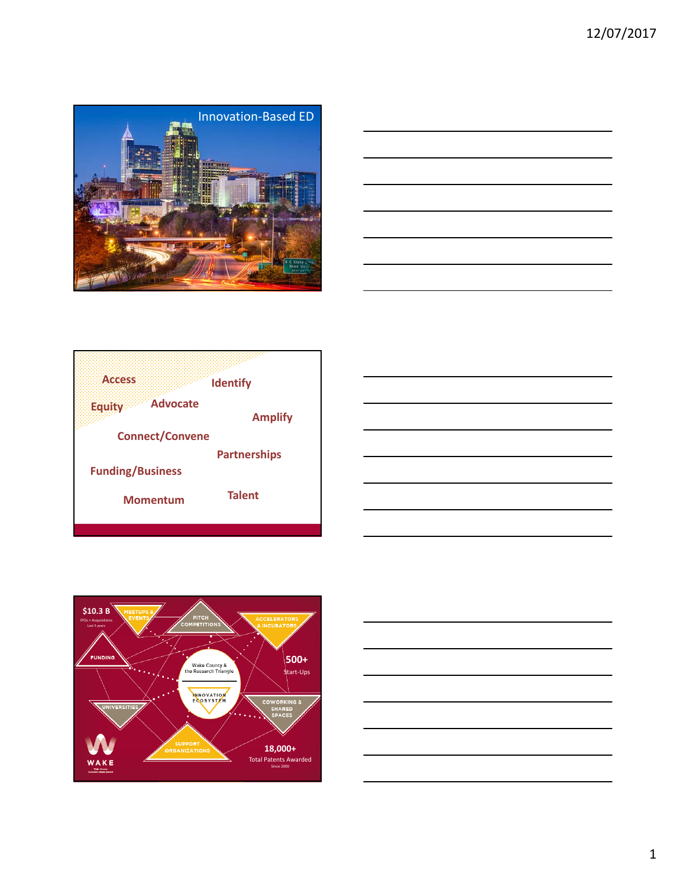









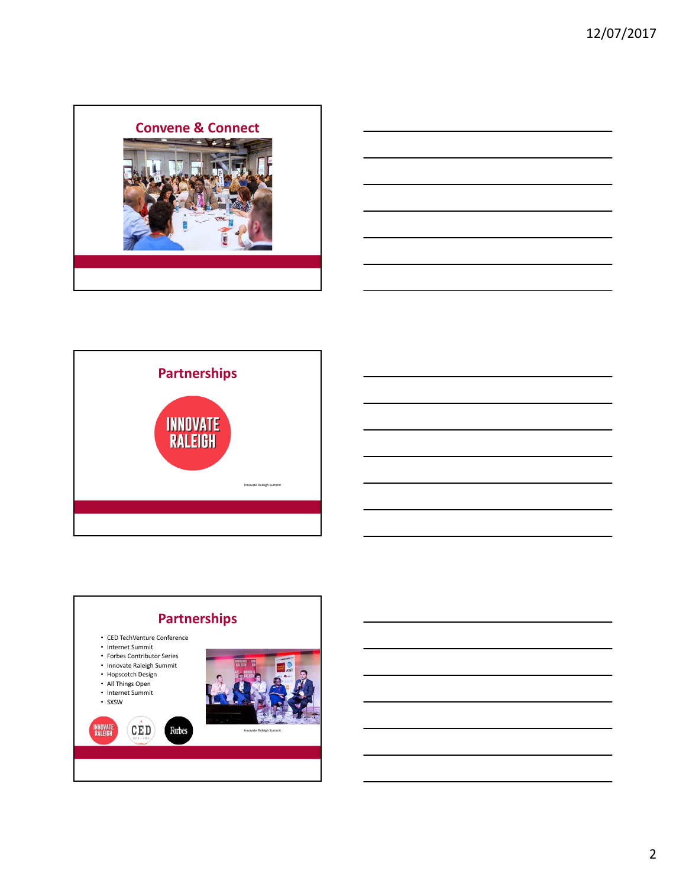





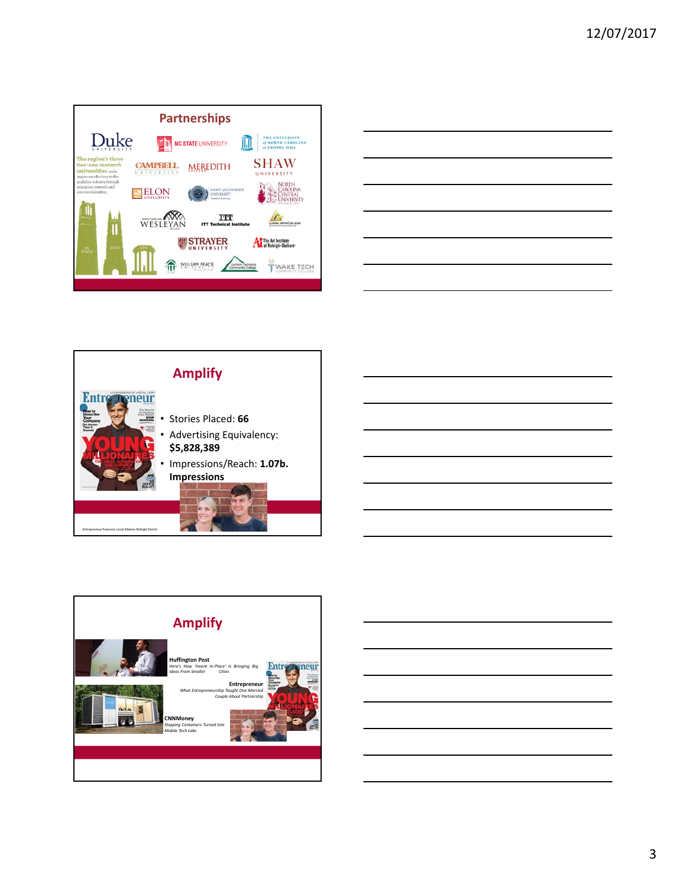

|                                                             | ____ |
|-------------------------------------------------------------|------|
|                                                             |      |
|                                                             |      |
|                                                             |      |
|                                                             |      |
|                                                             |      |
|                                                             |      |
|                                                             |      |
|                                                             |      |
|                                                             |      |
|                                                             |      |
|                                                             |      |
|                                                             |      |
|                                                             |      |
|                                                             |      |
|                                                             |      |
|                                                             |      |
|                                                             |      |
| <u> 1989 - Johann Stoff, amerikansk politiker (d. 1989)</u> |      |
|                                                             |      |





3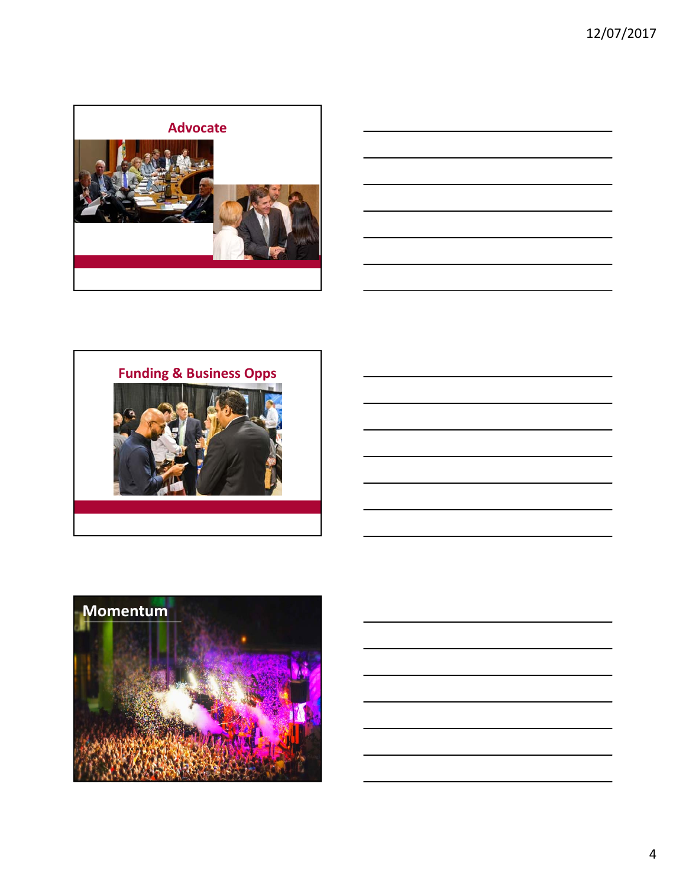